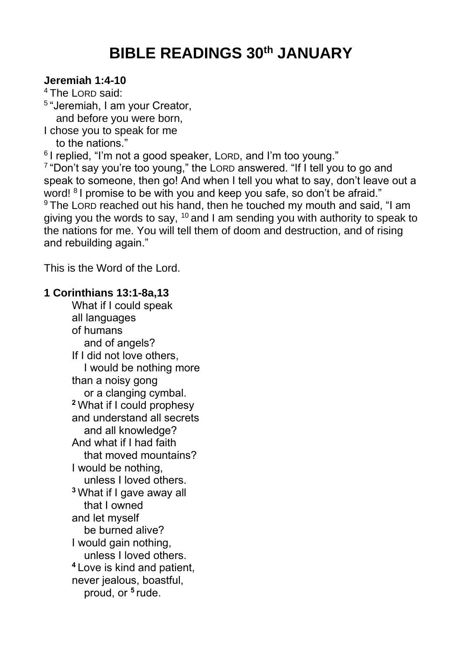## **BIBLE READINGS 30th JANUARY**

## **Jeremiah 1:4-10**

<sup>4</sup> The LORD said:

5 "Jeremiah, I am your Creator,

and before you were born,

I chose you to speak for me

to the nations."

6 I replied, "I'm not a good speaker, LORD, and I'm too young."

<sup>7</sup> "Don't say you're too young," the LORD answered. "If I tell you to go and speak to someone, then go! And when I tell you what to say, don't leave out a word! <sup>8</sup> I promise to be with you and keep you safe, so don't be afraid." <sup>9</sup> The LORD reached out his hand, then he touched my mouth and said, "I am giving you the words to say,  $10$  and I am sending you with authority to speak to the nations for me. You will tell them of doom and destruction, and of rising and rebuilding again."

This is the Word of the Lord.

## **1 Corinthians 13:1-8a,13**

What if I could speak all languages of humans and of angels? If I did not love others, I would be nothing more than a noisy gong or a clanging cymbal. **<sup>2</sup>** What if I could prophesy and understand all secrets and all knowledge? And what if I had faith that moved mountains? I would be nothing, unless I loved others. **<sup>3</sup>** What if I gave away all that I owned and let myself be burned alive? I would gain nothing, unless I loved others. **<sup>4</sup>** Love is kind and patient, never jealous, boastful, proud, or **<sup>5</sup>** rude.